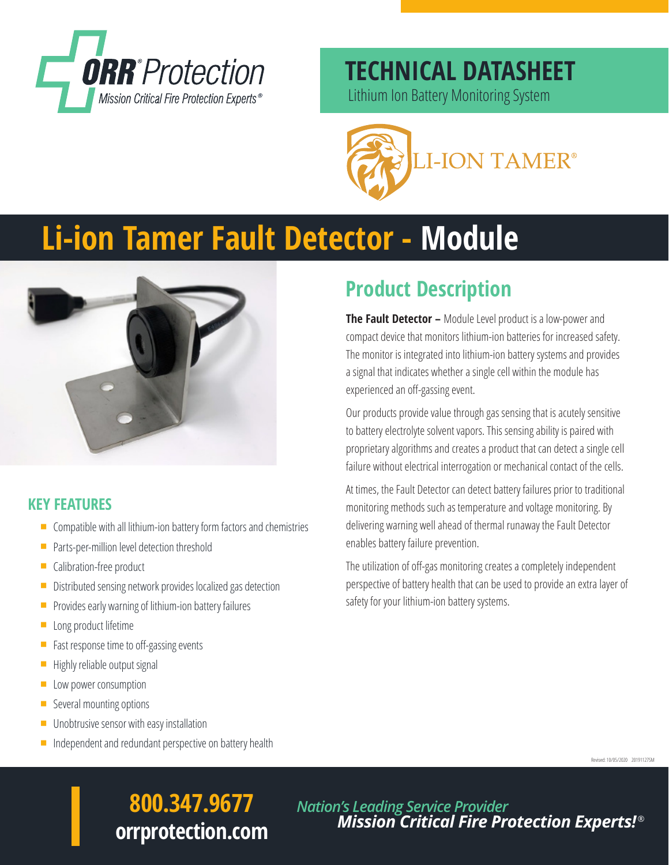

### **TECHNICAL DATASHEET**

Lithium Ion Battery Monitoring System



# **Li-ion Tamer Fault Detector - Module**



#### **KEY FEATURES**

- $\blacksquare$  Compatible with all lithium-ion battery form factors and chemistries
- Parts-per-million level detection threshold
- $\blacksquare$  Calibration-free product
- $\blacksquare$  Distributed sensing network provides localized gas detection
- $\blacksquare$  Provides early warning of lithium-ion battery failures
- $\blacksquare$  Long product lifetime
- $\blacksquare$  Fast response time to off-gassing events
- $\blacksquare$  Highly reliable output signal
- **Low power consumption**
- $\blacksquare$  Several mounting options
- Unobtrusive sensor with easy installation
- Independent and redundant perspective on battery health

### **Product Description**

**The Fault Detector –** Module Level product is a low-power and compact device that monitors lithium-ion batteries for increased safety. The monitor is integrated into lithium-ion battery systems and provides a signal that indicates whether a single cell within the module has experienced an off-gassing event.

Our products provide value through gas sensing that is acutely sensitive to battery electrolyte solvent vapors. This sensing ability is paired with proprietary algorithms and creates a product that can detect a single cell failure without electrical interrogation or mechanical contact of the cells.

At times, the Fault Detector can detect battery failures prior to traditional monitoring methods such as temperature and voltage monitoring. By delivering warning well ahead of thermal runaway the Fault Detector enables battery failure prevention.

The utilization of off-gas monitoring creates a completely independent perspective of battery health that can be used to provide an extra layer of safety for your lithium-ion battery systems.

Revised: 10/05/2020 20191127SM

## **800.347.9677 orrprotection.com**

*Nation's Leading Service Provider Mission Critical Fire Protection Experts!* ®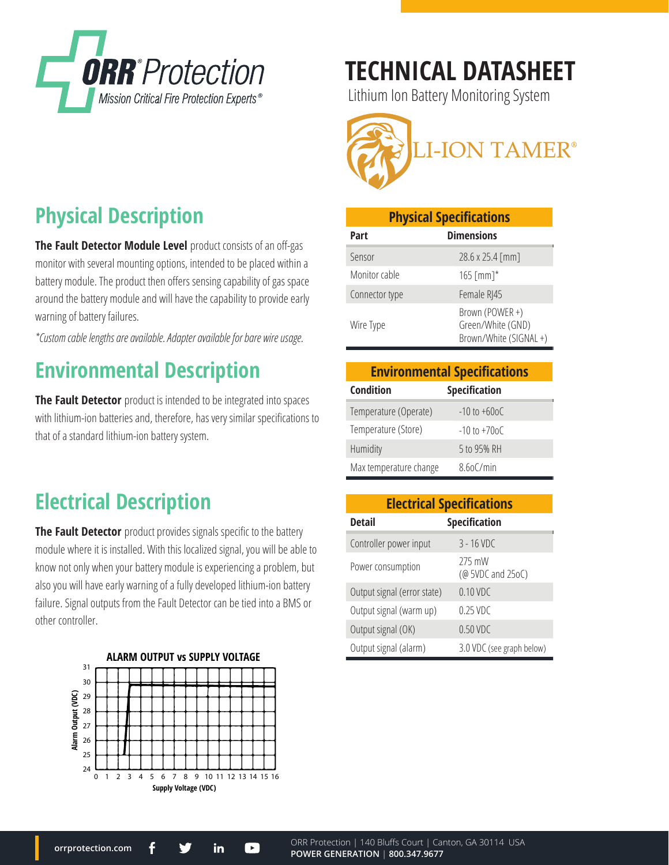

# **TECHNICAL DATASHEET**

Lithium Ion Battery Monitoring System



| <b>Physical Specifications</b> |                                                                |  |
|--------------------------------|----------------------------------------------------------------|--|
| Part                           | <b>Dimensions</b>                                              |  |
| Sensor                         | 28.6 x 25.4 [mm]                                               |  |
| Monitor cable                  | 165 [mm] $*$                                                   |  |
| Connector type                 | Female R 45                                                    |  |
| Wire Type                      | Brown (POWER +)<br>Green/White (GND)<br>Brown/White (SIGNAL +) |  |

| <b>Environmental Specifications</b> |                      |  |
|-------------------------------------|----------------------|--|
| <b>Condition</b>                    | <b>Specification</b> |  |
| Temperature (Operate)               | $-10$ to $+60$ o C   |  |
| Temperature (Store)                 | $-10$ to $+70$ oC    |  |
| Humidity                            | 5 to 95% RH          |  |
| Max temperature change              | $8.60$ C/min         |  |

| <b>Electrical Specifications</b> |                             |  |
|----------------------------------|-----------------------------|--|
| <b>Detail</b>                    | <b>Specification</b>        |  |
| Controller power input           | $3 - 16$ VDC                |  |
| Power consumption                | 275 mW<br>(@ 5VDC and 25oC) |  |
| Output signal (error state)      | 0.10 VDC                    |  |
| Output signal (warm up)          | $0.25$ VDC                  |  |
| Output signal (OK)               | 0.50 VDC                    |  |
| Output signal (alarm)            | 3.0 VDC (see graph below)   |  |

### **Physical Description**

**The Fault Detector Module Level** product consists of an off-gas monitor with several mounting options, intended to be placed within a battery module. The product then offers sensing capability of gas space around the battery module and will have the capability to provide early warning of battery failures.

*\*Custom cable lengths are available. Adapter available for bare wire usage.*

#### **Environmental Description**

**The Fault Detector** product is intended to be integrated into spaces with lithium-ion batteries and, therefore, has very similar specifications to that of a standard lithium-ion battery system.

#### **Electrical Description**

**The Fault Detector** product provides signals specific to the battery module where it is installed. With this localized signal, you will be able to know not only when your battery module is experiencing a problem, but also you will have early warning of a fully developed lithium-ion battery failure. Signal outputs from the Fault Detector can be tied into a BMS or other controller.

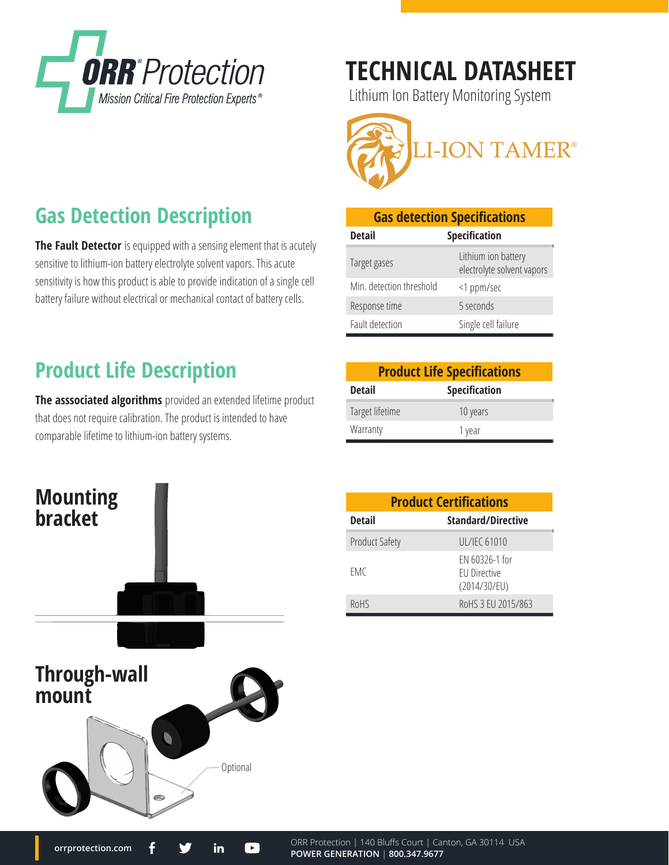

**Gas Detection Description**

**Product Life Description**

comparable lifetime to lithium-ion battery systems.

**orrprotection.com**

**The Fault Detector** is equipped with a sensing element that is acutely sensitive to lithium-ion battery electrolyte solvent vapors. This acute sensitivity is how this product is able to provide indication of a single cell battery failure without electrical or mechanical contact of battery cells.

**The asssociated algorithms** provided an extended lifetime product

that does not require calibration. The product is intended to have

# **TECHNICAL DATASHEET**

Lithium Ion Battery Monitoring System



| <b>Gas detection Specifications</b> |                                                   |  |
|-------------------------------------|---------------------------------------------------|--|
| <b>Detail</b>                       | <b>Specification</b>                              |  |
| Target gases                        | Lithium ion battery<br>electrolyte solvent vapors |  |
| Min. detection threshold            | <1 ppm/sec                                        |  |
| Response time                       | 5 seconds                                         |  |
| Fault detection                     | Single cell failure                               |  |

#### **Product Life Specifications Detail Specification** Target lifetime 10 years Warranty 1 year



in

 $\blacksquare$ 

| <b>Product Certifications</b> |                                                |  |
|-------------------------------|------------------------------------------------|--|
| <b>Detail</b>                 | <b>Standard/Directive</b>                      |  |
| <b>Product Safety</b>         | UL/IEC 61010                                   |  |
| EMC                           | EN 60326-1 for<br>EU Directive<br>(2014/30/EU) |  |
| ROHS                          | RoHS 3 EU 2015/863                             |  |